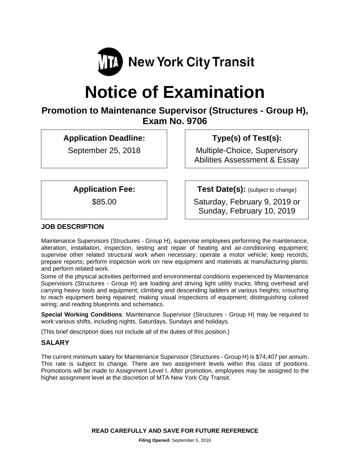

# **Notice of Examination**

# **Promotion to Maintenance Supervisor (Structures - Group H), Exam No. 9706**

**Application Deadline:** 

September 25, 2018

 **Type(s) of Test(s):** 

Multiple-Choice, Supervisory Abilities Assessment & Essay

**Application Fee:** 

\$85.00

**Test Date(s):** (subject to change)

Saturday, February 9, 2019 or Sunday, February 10, 2019

# **JOB DESCRIPTION**

Maintenance Supervisors (Structures - Group H), supervise employees performing the maintenance, alteration, installation, inspection, testing and repair of heating and air-conditioning equipment; supervise other related structural work when necessary; operate a motor vehicle; keep records; prepare reports; perform inspection work on new equipment and materials at manufacturing plants; and perform related work.

Some of the physical activities performed and environmental conditions experienced by Maintenance Supervisors (Structures - Group H) are loading and driving light utility trucks; lifting overhead and carrying heavy tools and equipment; climbing and descending ladders at various heights; crouching to reach equipment being repaired; making visual inspections of equipment; distinguishing colored wiring; and reading blueprints and schematics.

**Special Working Conditions**: Maintenance Supervisor (Structures - Group H) may be required to work various shifts, including nights, Saturdays, Sundays and holidays.

(This brief description does not include all of the duties of this position.)

#### **SALARY**

The current minimum salary for Maintenance Supervisor (Structures - Group H) is \$74,407 per annum. This rate is subject to change. There are two assignment levels within this class of positions. Promotions will be made to Assignment Level I. After promotion, employees may be assigned to the higher assignment level at the discretion of MTA New York City Transit.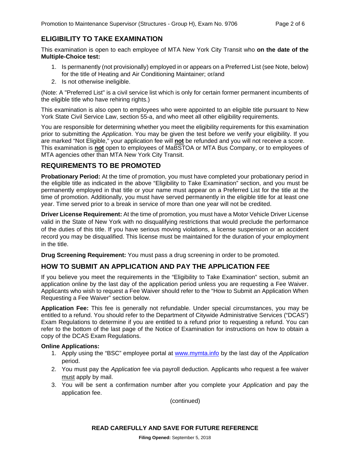# **ELIGIBILITY TO TAKE EXAMINATION**

This examination is open to each employee of MTA New York City Transit who **on the date of the Multiple-Choice test:** 

- 1. Is permanently (not provisionally) employed in or appears on a Preferred List (see Note, below) for the title of Heating and Air Conditioning Maintainer; or/and
- 2. Is not otherwise ineligible.

(Note: A "Preferred List" is a civil service list which is only for certain former permanent incumbents of the eligible title who have rehiring rights.)

This examination is also open to employees who were appointed to an eligible title pursuant to New York State Civil Service Law, section 55-a, and who meet all other eligibility requirements.

You are responsible for determining whether you meet the eligibility requirements for this examination prior to submitting the *Application*. You may be given the test before we verify your eligibility. If you are marked "Not Eligible," your application fee will **not** be refunded and you will not receive a score. This examination is **not** open to employees of MaBSTOA or MTA Bus Company, or to employees of MTA agencies other than MTA New York City Transit.

#### **REQUIREMENTS TO BE PROMOTED**

**Probationary Period:** At the time of promotion, you must have completed your probationary period in the eligible title as indicated in the above "Eligibility to Take Examination" section, and you must be permanently employed in that title or your name must appear on a Preferred List for the title at the time of promotion. Additionally, you must have served permanently in the eligible title for at least one year. Time served prior to a break in service of more than one year will not be credited.

**Driver License Requirement:** At the time of promotion, you must have a Motor Vehicle Driver License valid in the State of New York with no disqualifying restrictions that would preclude the performance of the duties of this title. If you have serious moving violations, a license suspension or an accident record you may be disqualified. This license must be maintained for the duration of your employment in the title.

**Drug Screening Requirement:** You must pass a drug screening in order to be promoted.

#### **HOW TO SUBMIT AN APPLICATION AND PAY THE APPLICATION FEE**

If you believe you meet the requirements in the "Eligibility to Take Examination" section, submit an application online by the last day of the application period unless you are requesting a Fee Waiver. Applicants who wish to request a Fee Waiver should refer to the "How to Submit an Application When Requesting a Fee Waiver" section below.

**Application Fee:** This fee is generally not refundable. Under special circumstances, you may be entitled to a refund. You should refer to the Department of Citywide Administrative Services ("DCAS") Exam Regulations to determine if you are entitled to a refund prior to requesting a refund. You can refer to the bottom of the last page of the Notice of Examination for instructions on how to obtain a copy of the DCAS Exam Regulations.

#### **Online Applications:**

- 1. Apply using the "BSC" employee portal at www.mymta.info by the last day of the *Application*  period.
- 2. You must pay the *Application* fee via payroll deduction. Applicants who request a fee waiver must apply by mail.
- 3. You will be sent a confirmation number after you complete your *Application* and pay the application fee.

(continued)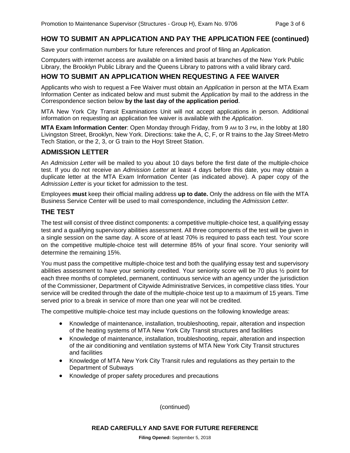# **HOW TO SUBMIT AN APPLICATION AND PAY THE APPLICATION FEE (continued)**

Save your confirmation numbers for future references and proof of filing an *Application.*

Computers with internet access are available on a limited basis at branches of the New York Public Library, the Brooklyn Public Library and the Queens Library to patrons with a valid library card.

### **HOW TO SUBMIT AN APPLICATION WHEN REQUESTING A FEE WAIVER**

Applicants who wish to request a Fee Waiver must obtain an *Application* in person at the MTA Exam Information Center as indicated below and must submit the *Application* by mail to the address in the Correspondence section below **by the last day of the application period**.

MTA New York City Transit Examinations Unit will not accept applications in person. Additional information on requesting an application fee waiver is available with the *Application*.

**MTA Exam Information Center**: Open Monday through Friday, from 9 AM to 3 PM, in the lobby at 180 Livingston Street, Brooklyn, New York. Directions: take the A, C, F, or R trains to the Jay Street-Metro Tech Station, or the 2, 3, or G train to the Hoyt Street Station.

#### **ADMISSION LETTER**

An *Admission Letter* will be mailed to you about 10 days before the first date of the multiple-choice test. If you do not receive an *Admission Letter* at least 4 days before this date, you may obtain a duplicate letter at the MTA Exam Information Center (as indicated above). A paper copy of the *Admission Letter* is your ticket for admission to the test.

Employees **must** keep their official mailing address **up to date.** Only the address on file with the MTA Business Service Center will be used to mail correspondence, including the *Admission Letter.*

#### **THE TEST**

The test will consist of three distinct components: a competitive multiple-choice test, a qualifying essay test and a qualifying supervisory abilities assessment. All three components of the test will be given in a single session on the same day. A score of at least 70% is required to pass each test. Your score on the competitive multiple-choice test will determine 85% of your final score. Your seniority will determine the remaining 15%.

You must pass the competitive multiple-choice test and both the qualifying essay test and supervisory abilities assessment to have your seniority credited. Your seniority score will be 70 plus ½ point for each three months of completed, permanent, continuous service with an agency under the jurisdiction of the Commissioner, Department of Citywide Administrative Services, in competitive class titles. Your service will be credited through the date of the multiple-choice test up to a maximum of 15 years. Time served prior to a break in service of more than one year will not be credited.

The competitive multiple-choice test may include questions on the following knowledge areas:

- Knowledge of maintenance, installation, troubleshooting, repair, alteration and inspection of the heating systems of MTA New York City Transit structures and facilities
- Knowledge of maintenance, installation, troubleshooting, repair, alteration and inspection of the air conditioning and ventilation systems of MTA New York City Transit structures and facilities
- Knowledge of MTA New York City Transit rules and regulations as they pertain to the Department of Subways
- Knowledge of proper safety procedures and precautions

(continued)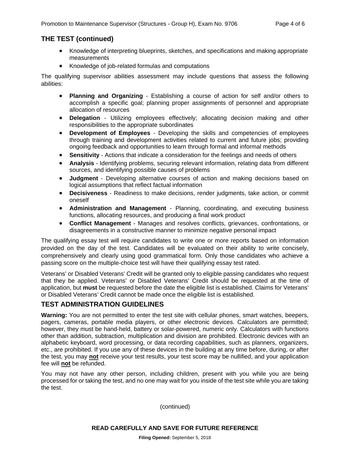#### **THE TEST (continued)**

- Knowledge of interpreting blueprints, sketches, and specifications and making appropriate measurements
- Knowledge of job-related formulas and computations

The qualifying supervisor abilities assessment may include questions that assess the following abilities:

- **Planning and Organizing** Establishing a course of action for self and/or others to accomplish a specific goal; planning proper assignments of personnel and appropriate allocation of resources
- **Delegation** Utilizing employees effectively; allocating decision making and other responsibilities to the appropriate subordinates
- **Development of Employees** Developing the skills and competencies of employees through training and development activities related to current and future jobs; providing ongoing feedback and opportunities to learn through formal and informal methods
- **Sensitivity** Actions that indicate a consideration for the feelings and needs of others
- **Analysis** Identifying problems, securing relevant information, relating data from different sources, and identifying possible causes of problems
- **Judgment** Developing alternative courses of action and making decisions based on logical assumptions that reflect factual information
- **Decisiveness** Readiness to make decisions, render judgments, take action, or commit oneself
- **Administration and Management** Planning, coordinating, and executing business functions, allocating resources, and producing a final work product
- **Conflict Management** Manages and resolves conflicts, grievances, confrontations, or disagreements in a constructive manner to minimize negative personal impact

The qualifying essay test will require candidates to write one or more reports based on information provided on the day of the test. Candidates will be evaluated on their ability to write concisely, comprehensively and clearly using good grammatical form. Only those candidates who achieve a passing score on the multiple-choice test will have their qualifying essay test rated.

Veterans' or Disabled Veterans' Credit will be granted only to eligible passing candidates who request that they be applied. Veterans' or Disabled Veterans' Credit should be requested at the time of application, but **must** be requested before the date the eligible list is established. Claims for Veterans' or Disabled Veterans' Credit cannot be made once the eligible list is established.

#### **TEST ADMINISTRATION GUIDELINES**

**Warning:** You are not permitted to enter the test site with cellular phones, smart watches, beepers, pagers, cameras, portable media players, or other electronic devices. Calculators are permitted; however, they must be hand-held, battery or solar-powered, numeric only. Calculators with functions other than addition, subtraction, multiplication and division are prohibited. Electronic devices with an alphabetic keyboard, word processing, or data recording capabilities, such as planners, organizers, etc., are prohibited. If you use any of these devices in the building at any time before, during, or after the test, you may **not** receive your test results, your test score may be nullified, and your application fee will **not** be refunded.

You may not have any other person, including children, present with you while you are being processed for or taking the test, and no one may wait for you inside of the test site while you are taking the test.

(continued)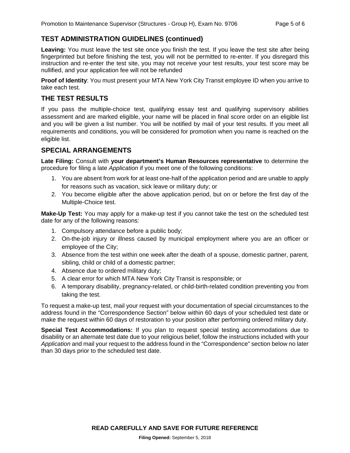# **TEST ADMINISTRATION GUIDELINES (continued)**

**Leaving:** You must leave the test site once you finish the test. If you leave the test site after being fingerprinted but before finishing the test, you will not be permitted to re-enter. If you disregard this instruction and re-enter the test site, you may not receive your test results, your test score may be nullified, and your application fee will not be refunded

**Proof of Identity**: You must present your MTA New York City Transit employee ID when you arrive to take each test.

#### **THE TEST RESULTS**

If you pass the multiple-choice test, qualifying essay test and qualifying supervisory abilities assessment and are marked eligible, your name will be placed in final score order on an eligible list and you will be given a list number. You will be notified by mail of your test results. If you meet all requirements and conditions, you will be considered for promotion when you name is reached on the eligible list.

#### **SPECIAL ARRANGEMENTS**

**Late Filing:** Consult with **your department's Human Resources representative** to determine the procedure for filing a late *Application* if you meet one of the following conditions:

- 1. You are absent from work for at least one-half of the application period and are unable to apply for reasons such as vacation, sick leave or military duty; or
- 2. You become eligible after the above application period, but on or before the first day of the Multiple-Choice test.

**Make-Up Test:** You may apply for a make-up test if you cannot take the test on the scheduled test date for any of the following reasons:

- 1. Compulsory attendance before a public body;
- 2. On-the-job injury or illness caused by municipal employment where you are an officer or employee of the City;
- 3. Absence from the test within one week after the death of a spouse, domestic partner, parent, sibling, child or child of a domestic partner;
- 4. Absence due to ordered military duty;
- 5. A clear error for which MTA New York City Transit is responsible; or
- 6. A temporary disability, pregnancy-related, or child-birth-related condition preventing you from taking the test.

To request a make-up test, mail your request with your documentation of special circumstances to the address found in the "Correspondence Section" below within 60 days of your scheduled test date or make the request within 60 days of restoration to your position after performing ordered military duty.

**Special Test Accommodations:** If you plan to request special testing accommodations due to disability or an alternate test date due to your religious belief, follow the instructions included with your *Application* and mail your request to the address found in the "Correspondence" section below no later than 30 days prior to the scheduled test date.

**READ CAREFULLY AND SAVE FOR FUTURE REFERENCE**